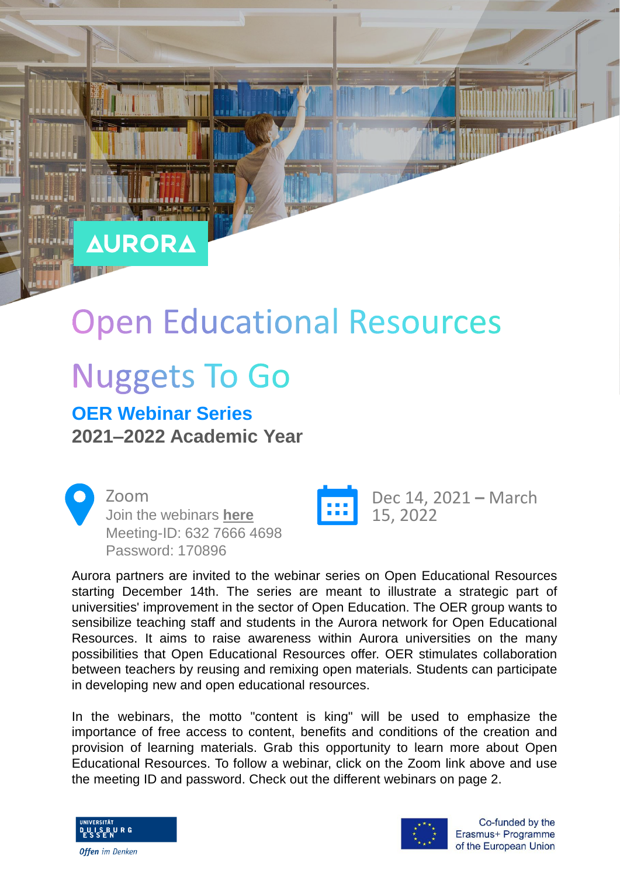## **AURORA**

# **Open Educational Resources**

## **Nuggets To Go**

### **OER Webinar Series 2021–2022 Academic Year**

Zoom Join the webinars **[here](https://uni-due.zoom.us/j/63276664698?pwd=clA0K0NwRFBTdzhldUxZMnlGT1RKQT09)** Meeting-ID: 632 7666 4698 Password: 170896



Dec 14, 2021 **–** March 15, 2022

Aurora partners are invited to the webinar series on Open Educational Resources starting December 14th. The series are meant to illustrate a strategic part of universities' improvement in the sector of Open Education. The OER group wants to sensibilize teaching staff and students in the Aurora network for Open Educational Resources. It aims to raise awareness within Aurora universities on the many possibilities that Open Educational Resources offer. OER stimulates collaboration between teachers by reusing and remixing open materials. Students can participate in developing new and open educational resources.

In the webinars, the motto "content is king" will be used to emphasize the importance of free access to content, benefits and conditions of the creation and provision of learning materials. Grab this opportunity to learn more about Open Educational Resources. To follow a webinar, click on the Zoom link above and use the meeting ID and password. Check out the different webinars on page 2.